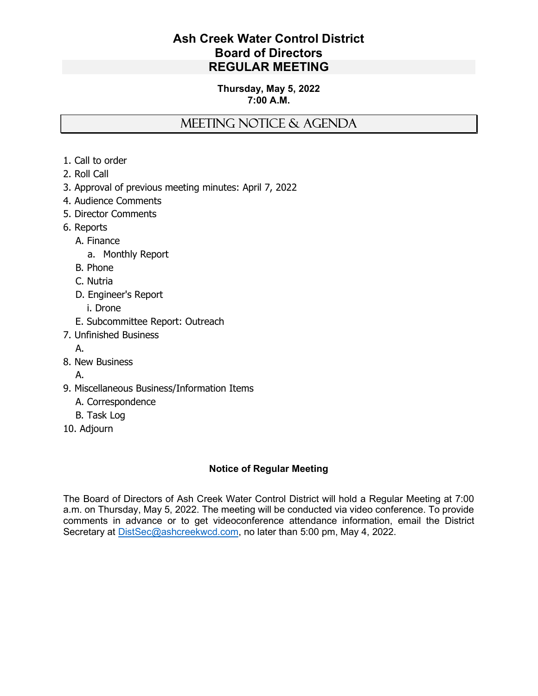## Ash Creek Water Control District Board of Directors REGULAR MEETING

#### Thursday, May 5, 2022 7:00 A.M.

# MEETING NOTICE & AGENDA

- 1. Call to order
- 2. Roll Call
- 3. Approval of previous meeting minutes: April 7, 2022
- 4. Audience Comments
- 5. Director Comments
- 6. Reports
	- A. Finance
		- a. Monthly Report
	- B. Phone
	- C. Nutria
	- D. Engineer's Report
		- i. Drone
	- E. Subcommittee Report: Outreach
- 7. Unfinished Business
	- A.
- 8. New Business
	- A.
- 9. Miscellaneous Business/Information Items
	- A. Correspondence
	- B. Task Log
- 10. Adjourn

### Notice of Regular Meeting

The Board of Directors of Ash Creek Water Control District will hold a Regular Meeting at 7:00 a.m. on Thursday, May 5, 2022. The meeting will be conducted via video conference. To provide comments in advance or to get videoconference attendance information, email the District Secretary at **DistSec@ashcreekwcd.com**, no later than 5:00 pm, May 4, 2022.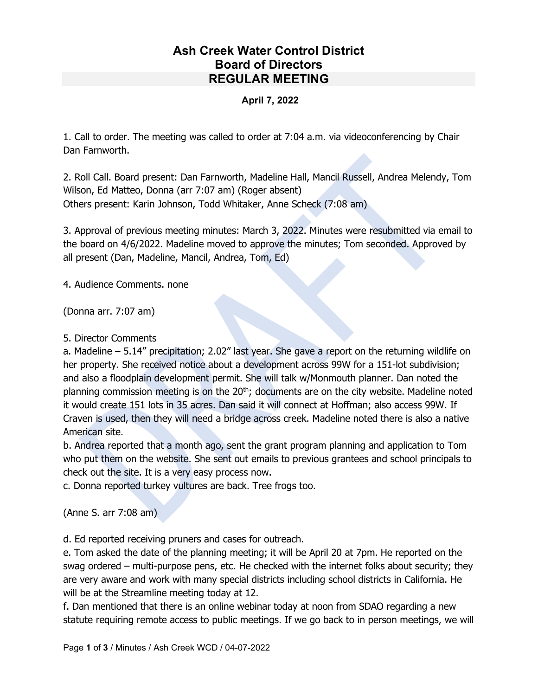# Ash Creek Water Control District Board of Directors REGULAR MEETING

#### April 7, 2022

1. Call to order. The meeting was called to order at 7:04 a.m. via videoconferencing by Chair Dan Farnworth.

2. Roll Call. Board present: Dan Farnworth, Madeline Hall, Mancil Russell, Andrea Melendy, Tom Wilson, Ed Matteo, Donna (arr 7:07 am) (Roger absent) Others present: Karin Johnson, Todd Whitaker, Anne Scheck (7:08 am)

3. Approval of previous meeting minutes: March 3, 2022. Minutes were resubmitted via email to the board on 4/6/2022. Madeline moved to approve the minutes; Tom seconded. Approved by all present (Dan, Madeline, Mancil, Andrea, Tom, Ed)

4. Audience Comments. none

(Donna arr. 7:07 am)

#### 5. Director Comments

a. Madeline – 5.14" precipitation; 2.02" last year. She gave a report on the returning wildlife on her property. She received notice about a development across 99W for a 151-lot subdivision; and also a floodplain development permit. She will talk w/Monmouth planner. Dan noted the planning commission meeting is on the 20<sup>th</sup>; documents are on the city website. Madeline noted it would create 151 lots in 35 acres. Dan said it will connect at Hoffman; also access 99W. If Craven is used, then they will need a bridge across creek. Madeline noted there is also a native American site.

b. Andrea reported that a month ago, sent the grant program planning and application to Tom who put them on the website. She sent out emails to previous grantees and school principals to check out the site. It is a very easy process now.

c. Donna reported turkey vultures are back. Tree frogs too.

(Anne S. arr 7:08 am)

d. Ed reported receiving pruners and cases for outreach.

e. Tom asked the date of the planning meeting; it will be April 20 at 7pm. He reported on the swag ordered – multi-purpose pens, etc. He checked with the internet folks about security; they are very aware and work with many special districts including school districts in California. He will be at the Streamline meeting today at 12.

f. Dan mentioned that there is an online webinar today at noon from SDAO regarding a new statute requiring remote access to public meetings. If we go back to in person meetings, we will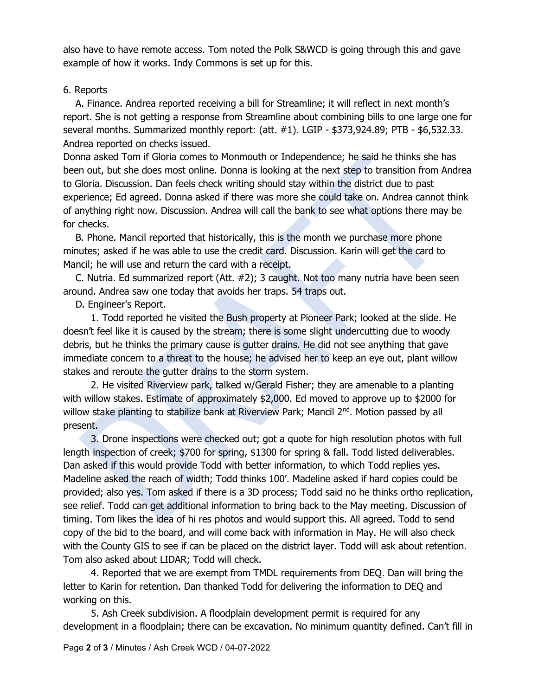also have to have remote access. Tom noted the Polk S&WCD is going through this and gave example of how it works. Indy Commons is set up for this.

### 6. Reports

 A. Finance. Andrea reported receiving a bill for Streamline; it will reflect in next month's report. She is not getting a response from Streamline about combining bills to one large one for several months. Summarized monthly report: (att. #1). LGIP - \$373,924.89; PTB - \$6,532.33. Andrea reported on checks issued.

Donna asked Tom if Gloria comes to Monmouth or Independence; he said he thinks she has been out, but she does most online. Donna is looking at the next step to transition from Andrea to Gloria. Discussion. Dan feels check writing should stay within the district due to past experience; Ed agreed. Donna asked if there was more she could take on. Andrea cannot think of anything right now. Discussion. Andrea will call the bank to see what options there may be for checks.

 B. Phone. Mancil reported that historically, this is the month we purchase more phone minutes; asked if he was able to use the credit card. Discussion. Karin will get the card to Mancil; he will use and return the card with a receipt.

 C. Nutria. Ed summarized report (Att. #2); 3 caught. Not too many nutria have been seen around. Andrea saw one today that avoids her traps. 54 traps out.

D. Engineer's Report.

1. Todd reported he visited the Bush property at Pioneer Park; looked at the slide. He doesn't feel like it is caused by the stream; there is some slight undercutting due to woody debris, but he thinks the primary cause is gutter drains. He did not see anything that gave immediate concern to a threat to the house; he advised her to keep an eye out, plant willow stakes and reroute the gutter drains to the storm system.

2. He visited Riverview park, talked w/Gerald Fisher; they are amenable to a planting with willow stakes. Estimate of approximately \$2,000. Ed moved to approve up to \$2000 for willow stake planting to stabilize bank at Riverview Park; Mancil 2<sup>nd</sup>. Motion passed by all present.

3. Drone inspections were checked out; got a quote for high resolution photos with full length inspection of creek; \$700 for spring, \$1300 for spring & fall. Todd listed deliverables. Dan asked if this would provide Todd with better information, to which Todd replies yes. Madeline asked the reach of width; Todd thinks 100'. Madeline asked if hard copies could be provided; also yes. Tom asked if there is a 3D process; Todd said no he thinks ortho replication, see relief. Todd can get additional information to bring back to the May meeting. Discussion of timing. Tom likes the idea of hi res photos and would support this. All agreed. Todd to send copy of the bid to the board, and will come back with information in May. He will also check with the County GIS to see if can be placed on the district layer. Todd will ask about retention. Tom also asked about LIDAR; Todd will check.

4. Reported that we are exempt from TMDL requirements from DEQ. Dan will bring the letter to Karin for retention. Dan thanked Todd for delivering the information to DEQ and working on this.

5. Ash Creek subdivision. A floodplain development permit is required for any development in a floodplain; there can be excavation. No minimum quantity defined. Can't fill in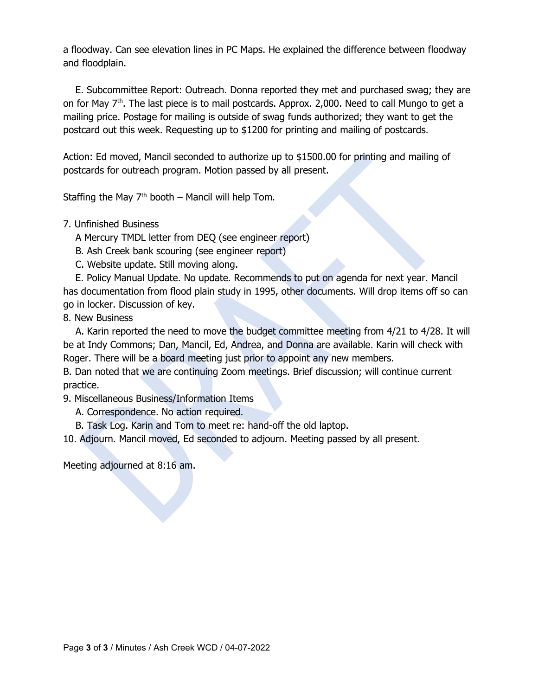a floodway. Can see elevation lines in PC Maps. He explained the difference between floodway and floodplain.

 E. Subcommittee Report: Outreach. Donna reported they met and purchased swag; they are on for May  $7<sup>th</sup>$ . The last piece is to mail postcards. Approx. 2,000. Need to call Mungo to get a mailing price. Postage for mailing is outside of swag funds authorized; they want to get the postcard out this week. Requesting up to \$1200 for printing and mailing of postcards.

Action: Ed moved, Mancil seconded to authorize up to \$1500.00 for printing and mailing of postcards for outreach program. Motion passed by all present.

Staffing the May  $7<sup>th</sup>$  booth – Mancil will help Tom.

#### 7. Unfinished Business

A Mercury TMDL letter from DEQ (see engineer report)

B. Ash Creek bank scouring (see engineer report)

C. Website update. Still moving along.

 E. Policy Manual Update. No update. Recommends to put on agenda for next year. Mancil has documentation from flood plain study in 1995, other documents. Will drop items off so can go in locker. Discussion of key.

### 8. New Business

 A. Karin reported the need to move the budget committee meeting from 4/21 to 4/28. It will be at Indy Commons; Dan, Mancil, Ed, Andrea, and Donna are available. Karin will check with Roger. There will be a board meeting just prior to appoint any new members.

B. Dan noted that we are continuing Zoom meetings. Brief discussion; will continue current practice.

9. Miscellaneous Business/Information Items

A. Correspondence. No action required.

B. Task Log. Karin and Tom to meet re: hand-off the old laptop.

10. Adjourn. Mancil moved, Ed seconded to adjourn. Meeting passed by all present.

Meeting adjourned at 8:16 am.